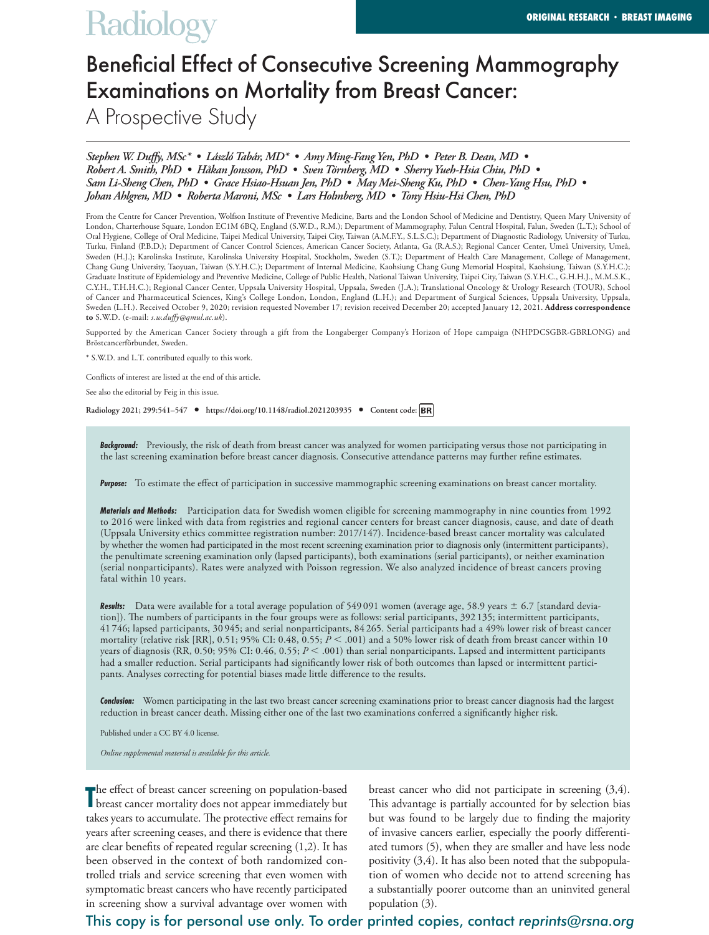# **Radiology**

# Beneficial Effect of Consecutive Screening Mammography Examinations on Mortality from Breast Cancer:

A Prospective Study

# *Stephen W. Duffy, MSc\* • László Tabár, MD\* • Amy Ming-Fang Yen, PhD • Peter B. Dean, MD • Robert A. Smith, PhD • Håkan Jonsson, PhD • Sven Törnberg, MD • Sherry Yueh-Hsia Chiu, PhD • Sam Li-Sheng Chen, PhD • Grace Hsiao-Hsuan Jen, PhD • May Mei-Sheng Ku, PhD • Chen-Yang Hsu, PhD • Johan Ahlgren, MD • Roberta Maroni, MSc • Lars Holmberg, MD • Tony Hsiu-Hsi Chen, PhD*

From the Centre for Cancer Prevention, Wolfson Institute of Preventive Medicine, Barts and the London School of Medicine and Dentistry, Queen Mary University of London, Charterhouse Square, London EC1M 6BQ, England (S.W.D., R.M.); Department of Mammography, Falun Central Hospital, Falun, Sweden (L.T.); School of Oral Hygiene, College of Oral Medicine, Taipei Medical University, Taipei City, Taiwan (A.M.F.Y., S.L.S.C.); Department of Diagnostic Radiology, University of Turku, Turku, Finland (P.B.D.); Department of Cancer Control Sciences, American Cancer Society, Atlanta, Ga (R.A.S.); Regional Cancer Center, Umeå University, Umeå, Sweden (H.J.); Karolinska Institute, Karolinska University Hospital, Stockholm, Sweden (S.T.); Department of Health Care Management, College of Management, Chang Gung University, Taoyuan, Taiwan (S.Y.H.C.); Department of Internal Medicine, Kaohsiung Chang Gung Memorial Hospital, Kaohsiung, Taiwan (S.Y.H.C.); Graduate Institute of Epidemiology and Preventive Medicine, College of Public Health, National Taiwan University, Taipei City, Taiwan (S.Y.H.C., G.H.H.J., M.M.S.K., C.Y.H., T.H.H.C.); Regional Cancer Center, Uppsala University Hospital, Uppsala, Sweden (J.A.); Translational Oncology & Urology Research (TOUR), School of Cancer and Pharmaceutical Sciences, King's College London, London, England (L.H.); and Department of Surgical Sciences, Uppsala University, Uppsala, Sweden (L.H.). Received October 9, 2020; revision requested November 17; revision received December 20; accepted January 12, 2021. **Address correspondence to** S.W.D. (e-mail: *s.w.duffy@qmul.ac.uk*).

Supported by the American Cancer Society through a gift from the Longaberger Company's Horizon of Hope campaign (NHPDCSGBR-GBRLONG) and Bröstcancerförbundet, Sweden.

\* S.W.D. and L.T. contributed equally to this work.

Conflicts of interest are listed at the end of this article.

See also the editorial by Feig in this issue.

**Radiology 2021; 299:541–547 • https://doi.org/10.1148/radiol.2021203935 • Content code:**

**Background:** Previously, the risk of death from breast cancer was analyzed for women participating versus those not participating in the last screening examination before breast cancer diagnosis. Consecutive attendance patterns may further refine estimates.

*Purpose:* To estimate the effect of participation in successive mammographic screening examinations on breast cancer mortality.

*Materials and Methods:* Participation data for Swedish women eligible for screening mammography in nine counties from 1992 to 2016 were linked with data from registries and regional cancer centers for breast cancer diagnosis, cause, and date of death (Uppsala University ethics committee registration number: 2017/147). Incidence-based breast cancer mortality was calculated by whether the women had participated in the most recent screening examination prior to diagnosis only (intermittent participants), the penultimate screening examination only (lapsed participants), both examinations (serial participants), or neither examination (serial nonparticipants). Rates were analyzed with Poisson regression. We also analyzed incidence of breast cancers proving fatal within 10 years.

Results: Data were available for a total average population of 549 091 women (average age, 58.9 years  $\pm$  6.7 [standard deviation]). The numbers of participants in the four groups were as follows: serial participants, 392 135; intermittent participants, 41 746; lapsed participants, 30 945; and serial nonparticipants, 84 265. Serial participants had a 49% lower risk of breast cancer mortality (relative risk [RR], 0.51; 95% CI: 0.48, 0.55;  $\bar{P}$  < .001) and a 50% lower risk of death from breast cancer within 10 years of diagnosis (RR, 0.50; 95% CI: 0.46, 0.55;  $P < .001$ ) than serial nonparticipants. Lapsed and intermittent participants had a smaller reduction. Serial participants had significantly lower risk of both outcomes than lapsed or intermittent participants. Analyses correcting for potential biases made little difference to the results.

*Conclusion:* Women participating in the last two breast cancer screening examinations prior to breast cancer diagnosis had the largest reduction in breast cancer death. Missing either one of the last two examinations conferred a significantly higher risk.

Published under a CC BY 4.0 license.

*Online supplemental material is available for this article.*

The effect of breast cancer screening on population-based<br>breast cancer mortality does not appear immediately but he effect of breast cancer screening on population-based takes years to accumulate. The protective effect remains for years after screening ceases, and there is evidence that there are clear benefits of repeated regular screening (1,2). It has been observed in the context of both randomized controlled trials and service screening that even women with symptomatic breast cancers who have recently participated in screening show a survival advantage over women with

breast cancer who did not participate in screening (3,4). This advantage is partially accounted for by selection bias but was found to be largely due to finding the majority of invasive cancers earlier, especially the poorly differentiated tumors (5), when they are smaller and have less node positivity (3,4). It has also been noted that the subpopulation of women who decide not to attend screening has a substantially poorer outcome than an uninvited general population (3).

# This copy is for personal use only. To order printed copies, contact *reprints@rsna.org*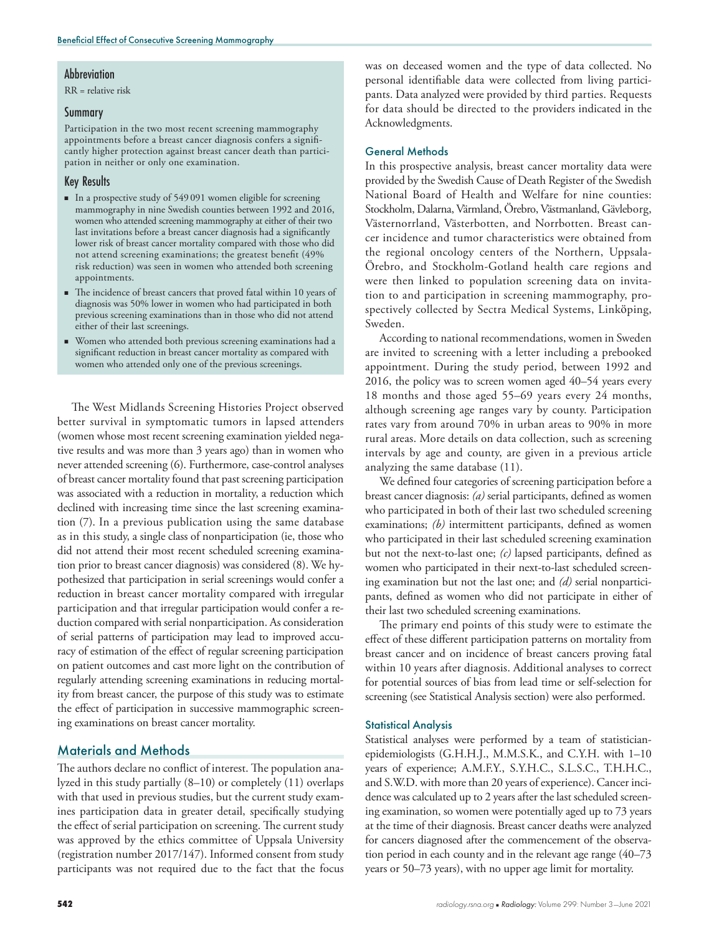#### **Abbreviation**

RR = relative risk

#### Summary

Participation in the two most recent screening mammography appointments before a breast cancer diagnosis confers a significantly higher protection against breast cancer death than participation in neither or only one examination.

### Key Results

- n In a prospective study of 549 091 women eligible for screening mammography in nine Swedish counties between 1992 and 2016, women who attended screening mammography at either of their two last invitations before a breast cancer diagnosis had a significantly lower risk of breast cancer mortality compared with those who did not attend screening examinations; the greatest benefit (49% risk reduction) was seen in women who attended both screening appointments.
- The incidence of breast cancers that proved fatal within 10 years of diagnosis was 50% lower in women who had participated in both previous screening examinations than in those who did not attend either of their last screenings.
- n Women who attended both previous screening examinations had a significant reduction in breast cancer mortality as compared with women who attended only one of the previous screenings.

The West Midlands Screening Histories Project observed better survival in symptomatic tumors in lapsed attenders (women whose most recent screening examination yielded negative results and was more than 3 years ago) than in women who never attended screening (6). Furthermore, case-control analyses of breast cancer mortality found that past screening participation was associated with a reduction in mortality, a reduction which declined with increasing time since the last screening examination (7). In a previous publication using the same database as in this study, a single class of nonparticipation (ie, those who did not attend their most recent scheduled screening examination prior to breast cancer diagnosis) was considered (8). We hypothesized that participation in serial screenings would confer a reduction in breast cancer mortality compared with irregular participation and that irregular participation would confer a reduction compared with serial nonparticipation. As consideration of serial patterns of participation may lead to improved accuracy of estimation of the effect of regular screening participation on patient outcomes and cast more light on the contribution of regularly attending screening examinations in reducing mortality from breast cancer, the purpose of this study was to estimate the effect of participation in successive mammographic screening examinations on breast cancer mortality.

# Materials and Methods

The authors declare no conflict of interest. The population analyzed in this study partially (8–10) or completely (11) overlaps with that used in previous studies, but the current study examines participation data in greater detail, specifically studying the effect of serial participation on screening. The current study was approved by the ethics committee of Uppsala University (registration number 2017/147). Informed consent from study participants was not required due to the fact that the focus

was on deceased women and the type of data collected. No personal identifiable data were collected from living participants. Data analyzed were provided by third parties. Requests for data should be directed to the providers indicated in the Acknowledgments.

#### General Methods

In this prospective analysis, breast cancer mortality data were provided by the Swedish Cause of Death Register of the Swedish National Board of Health and Welfare for nine counties: Stockholm, Dalarna, Värmland, Örebro, Västmanland, Gävleborg, Västernorrland, Västerbotten, and Norrbotten. Breast cancer incidence and tumor characteristics were obtained from the regional oncology centers of the Northern, Uppsala-Örebro, and Stockholm-Gotland health care regions and were then linked to population screening data on invitation to and participation in screening mammography, prospectively collected by Sectra Medical Systems, Linköping, Sweden.

According to national recommendations, women in Sweden are invited to screening with a letter including a prebooked appointment. During the study period, between 1992 and 2016, the policy was to screen women aged 40–54 years every 18 months and those aged 55–69 years every 24 months, although screening age ranges vary by county. Participation rates vary from around 70% in urban areas to 90% in more rural areas. More details on data collection, such as screening intervals by age and county, are given in a previous article analyzing the same database (11).

We defined four categories of screening participation before a breast cancer diagnosis: *(a)* serial participants, defined as women who participated in both of their last two scheduled screening examinations; *(b)* intermittent participants, defined as women who participated in their last scheduled screening examination but not the next-to-last one; *(c)* lapsed participants, defined as women who participated in their next-to-last scheduled screening examination but not the last one; and *(d)* serial nonparticipants, defined as women who did not participate in either of their last two scheduled screening examinations.

The primary end points of this study were to estimate the effect of these different participation patterns on mortality from breast cancer and on incidence of breast cancers proving fatal within 10 years after diagnosis. Additional analyses to correct for potential sources of bias from lead time or self-selection for screening (see Statistical Analysis section) were also performed.

#### Statistical Analysis

Statistical analyses were performed by a team of statisticianepidemiologists (G.H.H.J., M.M.S.K., and C.Y.H. with 1–10 years of experience; A.M.F.Y., S.Y.H.C., S.L.S.C., T.H.H.C., and S.W.D. with more than 20 years of experience). Cancer incidence was calculated up to 2 years after the last scheduled screening examination, so women were potentially aged up to 73 years at the time of their diagnosis. Breast cancer deaths were analyzed for cancers diagnosed after the commencement of the observation period in each county and in the relevant age range (40–73 years or 50–73 years), with no upper age limit for mortality.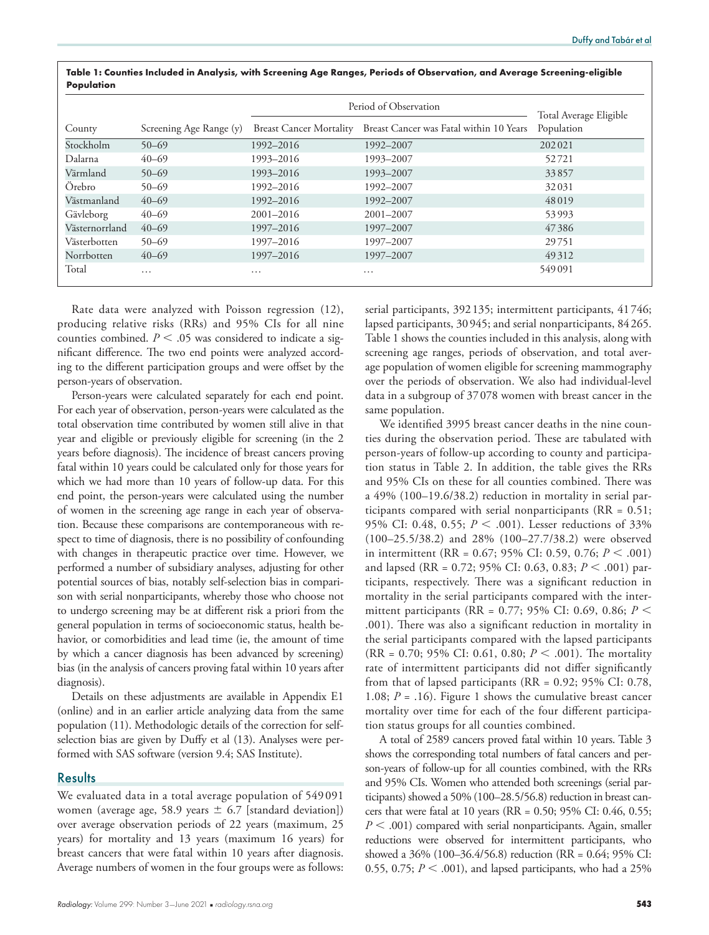|                |                         | Period of Observation          | Total Average Eligible                  |            |
|----------------|-------------------------|--------------------------------|-----------------------------------------|------------|
| County         | Screening Age Range (y) | <b>Breast Cancer Mortality</b> | Breast Cancer was Fatal within 10 Years | Population |
| Stockholm      | $50 - 69$               | 1992-2016                      | 1992-2007                               | 202021     |
| Dalarna        | $40 - 69$               | 1993-2016                      | 1993-2007                               | 52721      |
| Värmland       | $50 - 69$               | 1993-2016                      | 1993-2007                               | 33857      |
| Örebro         | $50 - 69$               | 1992-2016                      | 1992-2007                               | 32031      |
| Västmanland    | $40 - 69$               | 1992-2016                      | 1992-2007                               | 48019      |
| Gävleborg      | $40 - 69$               | $2001 - 2016$                  | 2001-2007                               | 53993      |
| Västernorrland | $40 - 69$               | 1997-2016                      | 1997-2007                               | 47386      |
| Västerbotten   | $50 - 69$               | 1997-2016                      | 1997-2007                               | 29751      |
| Norrbotten     | $40 - 69$               | 1997-2016                      | 1997-2007                               | 49312      |
| Total          | $\cdots$                | $\cdots$                       | $\cdots$                                | 549091     |

**Table 1: Counties Included in Analysis, with Screening Age Ranges, Periods of Observation, and Average Screening-eligible Population**

Rate data were analyzed with Poisson regression (12), producing relative risks (RRs) and 95% CIs for all nine counties combined.  $P < .05$  was considered to indicate a significant difference. The two end points were analyzed according to the different participation groups and were offset by the person-years of observation.

Person-years were calculated separately for each end point. For each year of observation, person-years were calculated as the total observation time contributed by women still alive in that year and eligible or previously eligible for screening (in the 2 years before diagnosis). The incidence of breast cancers proving fatal within 10 years could be calculated only for those years for which we had more than 10 years of follow-up data. For this end point, the person-years were calculated using the number of women in the screening age range in each year of observation. Because these comparisons are contemporaneous with respect to time of diagnosis, there is no possibility of confounding with changes in therapeutic practice over time. However, we performed a number of subsidiary analyses, adjusting for other potential sources of bias, notably self-selection bias in comparison with serial nonparticipants, whereby those who choose not to undergo screening may be at different risk a priori from the general population in terms of socioeconomic status, health behavior, or comorbidities and lead time (ie, the amount of time by which a cancer diagnosis has been advanced by screening) bias (in the analysis of cancers proving fatal within 10 years after diagnosis).

Details on these adjustments are available in Appendix E1 (online) and in an earlier article analyzing data from the same population (11). Methodologic details of the correction for selfselection bias are given by Duffy et al (13). Analyses were performed with SAS software (version 9.4; SAS Institute).

# **Results**

We evaluated data in a total average population of 549 091 women (average age, 58.9 years  $\pm$  6.7 [standard deviation]) over average observation periods of 22 years (maximum, 25 years) for mortality and 13 years (maximum 16 years) for breast cancers that were fatal within 10 years after diagnosis. Average numbers of women in the four groups were as follows:

serial participants, 392135; intermittent participants, 41746; lapsed participants, 30945; and serial nonparticipants, 84265. Table 1 shows the counties included in this analysis, along with screening age ranges, periods of observation, and total average population of women eligible for screening mammography over the periods of observation. We also had individual-level data in a subgroup of 37078 women with breast cancer in the same population.

We identified 3995 breast cancer deaths in the nine counties during the observation period. These are tabulated with person-years of follow-up according to county and participation status in Table 2. In addition, the table gives the RRs and 95% CIs on these for all counties combined. There was a 49% (100–19.6/38.2) reduction in mortality in serial participants compared with serial nonparticipants ( $RR = 0.51$ ; 95% CI: 0.48, 0.55;  $P < .001$ ). Lesser reductions of 33% (100–25.5/38.2) and 28% (100–27.7/38.2) were observed in intermittent (RR =  $0.67$ ; 95% CI: 0.59, 0.76;  $P < .001$ ) and lapsed (RR = 0.72; 95% CI: 0.63, 0.83; *P* < .001) participants, respectively. There was a significant reduction in mortality in the serial participants compared with the intermittent participants (RR = 0.77; 95% CI: 0.69, 0.86; *P* , .001). There was also a significant reduction in mortality in the serial participants compared with the lapsed participants (RR = 0.70; 95% CI: 0.61, 0.80;  $P < .001$ ). The mortality rate of intermittent participants did not differ significantly from that of lapsed participants (RR = 0.92; 95% CI: 0.78, 1.08;  $P = .16$ ). Figure 1 shows the cumulative breast cancer mortality over time for each of the four different participation status groups for all counties combined.

A total of 2589 cancers proved fatal within 10 years. Table 3 shows the corresponding total numbers of fatal cancers and person-years of follow-up for all counties combined, with the RRs and 95% CIs. Women who attended both screenings (serial participants) showed a 50% (100–28.5/56.8) reduction in breast cancers that were fatal at 10 years (RR = 0.50; 95% CI: 0.46, 0.55;  $P < .001$ ) compared with serial nonparticipants. Again, smaller reductions were observed for intermittent participants, who showed a 36% (100–36.4/56.8) reduction (RR = 0.64; 95% CI: 0.55, 0.75;  $P < .001$ ), and lapsed participants, who had a 25%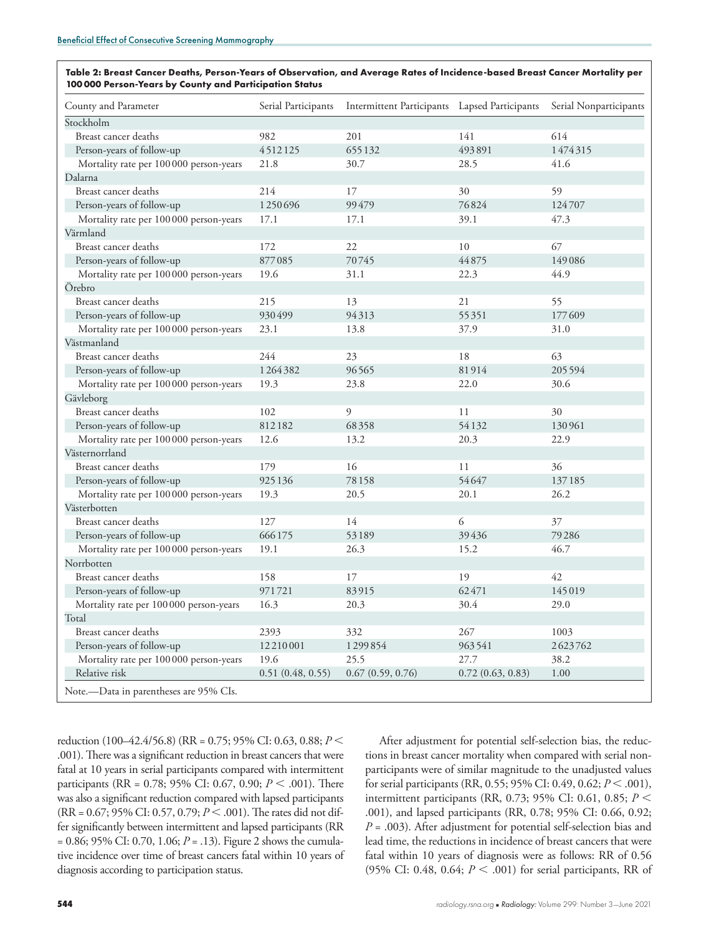| Table 2: Breast Cancer Deaths, Person-Years of Observation, and Average Rates of Incidence-based Breast Cancer Mortality per |
|------------------------------------------------------------------------------------------------------------------------------|
| 100000 Person-Years by County and Participation Status                                                                       |

| County and Parameter                    | Serial Participants | Intermittent Participants Lapsed Participants |                  | Serial Nonparticipants |
|-----------------------------------------|---------------------|-----------------------------------------------|------------------|------------------------|
| Stockholm                               |                     |                                               |                  |                        |
| Breast cancer deaths                    | 982                 | 201                                           | 141              | 614                    |
| Person-years of follow-up               | 4512125             | 655132                                        | 493891           | 1474315                |
| Mortality rate per 100 000 person-years | 21.8                | 30.7                                          | 28.5             | 41.6                   |
| Dalarna                                 |                     |                                               |                  |                        |
| Breast cancer deaths                    | 214                 | 17                                            | 30               | 59                     |
| Person-years of follow-up               | 1250696             | 99479                                         | 76824            | 124707                 |
| Mortality rate per 100 000 person-years | 17.1                | 17.1                                          | 39.1             | 47.3                   |
| Värmland                                |                     |                                               |                  |                        |
| Breast cancer deaths                    | 172                 | 22                                            | 10               | 67                     |
| Person-years of follow-up               | 877085              | 70745                                         | 44875            | 149086                 |
| Mortality rate per 100 000 person-years | 19.6                | 31.1                                          | 22.3             | 44.9                   |
| Örebro                                  |                     |                                               |                  |                        |
| Breast cancer deaths                    | 215                 | 13                                            | 21               | 55                     |
| Person-years of follow-up               | 930499              | 94313                                         | 55351            | 177609                 |
| Mortality rate per 100 000 person-years | 23.1                | 13.8                                          | 37.9             | 31.0                   |
| Västmanland                             |                     |                                               |                  |                        |
| Breast cancer deaths                    | 244                 | 23                                            | 18               | 63                     |
| Person-years of follow-up               | 1264382             | 96565                                         | 81914            | 205594                 |
| Mortality rate per 100 000 person-years | 19.3                | 23.8                                          | 22.0             | 30.6                   |
| Gävleborg                               |                     |                                               |                  |                        |
| Breast cancer deaths                    | 102                 | 9                                             | 11               | 30                     |
| Person-years of follow-up               | 812182              | 68358                                         | 54132            | 130961                 |
| Mortality rate per 100 000 person-years | 12.6                | 13.2                                          | 20.3             | 22.9                   |
| Västernorrland                          |                     |                                               |                  |                        |
| Breast cancer deaths                    | 179                 | 16                                            | 11               | 36                     |
| Person-years of follow-up               | 925136              | 78158                                         | 54647            | 137185                 |
| Mortality rate per 100 000 person-years | 19.3                | 20.5                                          | 20.1             | 26.2                   |
| Västerbotten                            |                     |                                               |                  |                        |
| Breast cancer deaths                    | 127                 | 14                                            | 6                | 37                     |
| Person-years of follow-up               | 666175              | 53189                                         | 39436            | 79286                  |
| Mortality rate per 100 000 person-years | 19.1                | 26.3                                          | 15.2             | 46.7                   |
| Norrbotten                              |                     |                                               |                  |                        |
| Breast cancer deaths                    | 158                 | 17                                            | 19               | 42                     |
| Person-years of follow-up               | 971721              | 83915                                         | 62471            | 145019                 |
| Mortality rate per 100 000 person-years | 16.3                | 20.3                                          | 30.4             | 29.0                   |
| Total                                   |                     |                                               |                  |                        |
| Breast cancer deaths                    | 2393                | 332                                           | 267              | 1003                   |
| Person-years of follow-up               | 12210001            | 1299854                                       | 963541           | 2623762                |
| Mortality rate per 100 000 person-years | 19.6                | 25.5                                          | 27.7             | 38.2                   |
| Relative risk                           | 0.51(0.48, 0.55)    | 0.67(0.59, 0.76)                              | 0.72(0.63, 0.83) | 1.00                   |
| Note.—Data in parentheses are 95% CIs.  |                     |                                               |                  |                        |

reduction (100–42.4/56.8) (RR = 0.75; 95% CI: 0.63, 0.88; *P* , .001). There was a significant reduction in breast cancers that were fatal at 10 years in serial participants compared with intermittent participants (RR = 0.78; 95% CI: 0.67, 0.90; *P* < .001). There was also a significant reduction compared with lapsed participants (RR = 0.67; 95% CI: 0.57, 0.79;  $P < .001$ ). The rates did not differ significantly between intermittent and lapsed participants (RR = 0.86; 95% CI: 0.70, 1.06; *P* = .13). Figure 2 shows the cumulative incidence over time of breast cancers fatal within 10 years of diagnosis according to participation status.

After adjustment for potential self-selection bias, the reductions in breast cancer mortality when compared with serial nonparticipants were of similar magnitude to the unadjusted values for serial participants (RR, 0.55; 95% CI: 0.49, 0.62;  $P < .001$ ), intermittent participants (RR, 0.73; 95% CI: 0.61, 0.85;  $P \leq$ .001), and lapsed participants (RR, 0.78; 95% CI: 0.66, 0.92; *P* = .003). After adjustment for potential self-selection bias and lead time, the reductions in incidence of breast cancers that were fatal within 10 years of diagnosis were as follows: RR of 0.56 (95% CI: 0.48, 0.64;  $P < .001$ ) for serial participants, RR of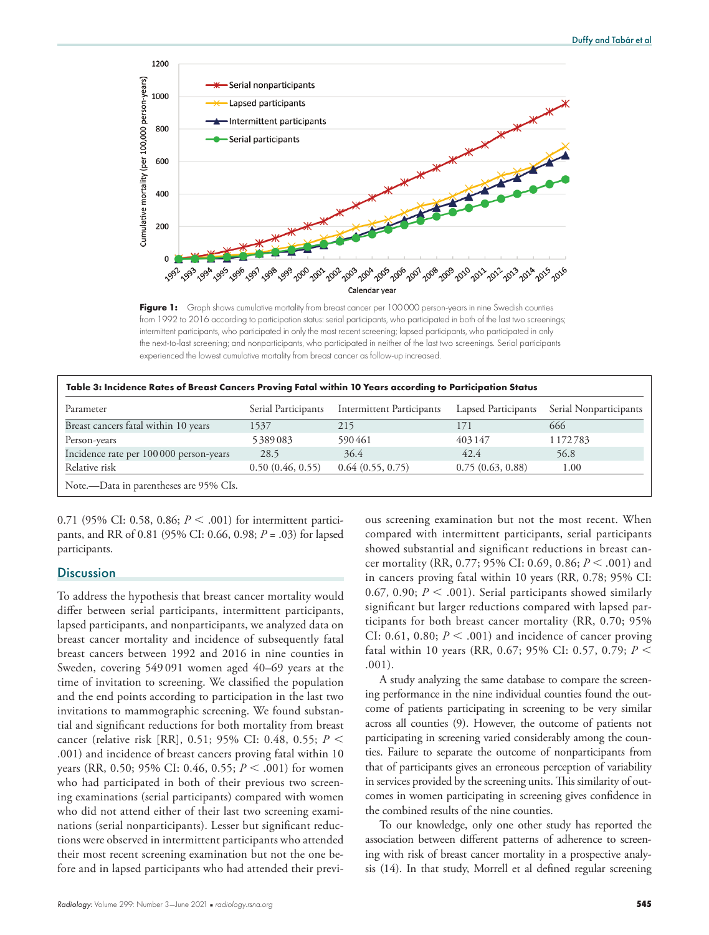

Figure 1: Graph shows cumulative mortality from breast cancer per 100000 person-years in nine Swedish counties from 1992 to 2016 according to participation status: serial participants, who participated in both of the last two screenings; intermittent participants, who participated in only the most recent screening; lapsed participants, who participated in only the next-to-last screening; and nonparticipants, who participated in neither of the last two screenings. Serial participants experienced the lowest cumulative mortality from breast cancer as follow-up increased.

| Parameter                               | Serial Participants | <b>Intermittent Participants</b> | Lapsed Participants | Serial Nonparticipants |
|-----------------------------------------|---------------------|----------------------------------|---------------------|------------------------|
| Breast cancers fatal within 10 years    | 1537                | 215                              | 171                 | 666                    |
| Person-years                            | 5389083             | 590461                           | 403147              | 1172783                |
| Incidence rate per 100 000 person-years | 28.5                | 36.4                             | 42.4                | 56.8                   |
| Relative risk                           | 0.50(0.46, 0.55)    | 0.64(0.55, 0.75)                 | 0.75(0.63, 0.88)    | 1.00                   |

0.71 (95% CI: 0.58, 0.86;  $P < .001$ ) for intermittent participants, and RR of 0.81 (95% CI: 0.66, 0.98; *P* = .03) for lapsed participants.

# **Discussion**

To address the hypothesis that breast cancer mortality would differ between serial participants, intermittent participants, lapsed participants, and nonparticipants, we analyzed data on breast cancer mortality and incidence of subsequently fatal breast cancers between 1992 and 2016 in nine counties in Sweden, covering 549 091 women aged 40–69 years at the time of invitation to screening. We classified the population and the end points according to participation in the last two invitations to mammographic screening. We found substantial and significant reductions for both mortality from breast cancer (relative risk [RR], 0.51; 95% CI: 0.48, 0.55; *P* < .001) and incidence of breast cancers proving fatal within 10 years (RR, 0.50; 95% CI: 0.46, 0.55; *P* < .001) for women who had participated in both of their previous two screening examinations (serial participants) compared with women who did not attend either of their last two screening examinations (serial nonparticipants). Lesser but significant reductions were observed in intermittent participants who attended their most recent screening examination but not the one before and in lapsed participants who had attended their previ-

ous screening examination but not the most recent. When compared with intermittent participants, serial participants showed substantial and significant reductions in breast cancer mortality (RR, 0.77; 95% CI: 0.69, 0.86; *P* < .001) and in cancers proving fatal within 10 years (RR, 0.78; 95% CI: 0.67, 0.90;  $P < .001$ ). Serial participants showed similarly significant but larger reductions compared with lapsed participants for both breast cancer mortality (RR, 0.70; 95% CI: 0.61, 0.80;  $P < .001$ ) and incidence of cancer proving fatal within 10 years (RR, 0.67; 95% CI: 0.57, 0.79; *P* , .001).

A study analyzing the same database to compare the screening performance in the nine individual counties found the outcome of patients participating in screening to be very similar across all counties (9). However, the outcome of patients not participating in screening varied considerably among the counties. Failure to separate the outcome of nonparticipants from that of participants gives an erroneous perception of variability in services provided by the screening units. This similarity of outcomes in women participating in screening gives confidence in the combined results of the nine counties.

To our knowledge, only one other study has reported the association between different patterns of adherence to screening with risk of breast cancer mortality in a prospective analysis (14). In that study, Morrell et al defined regular screening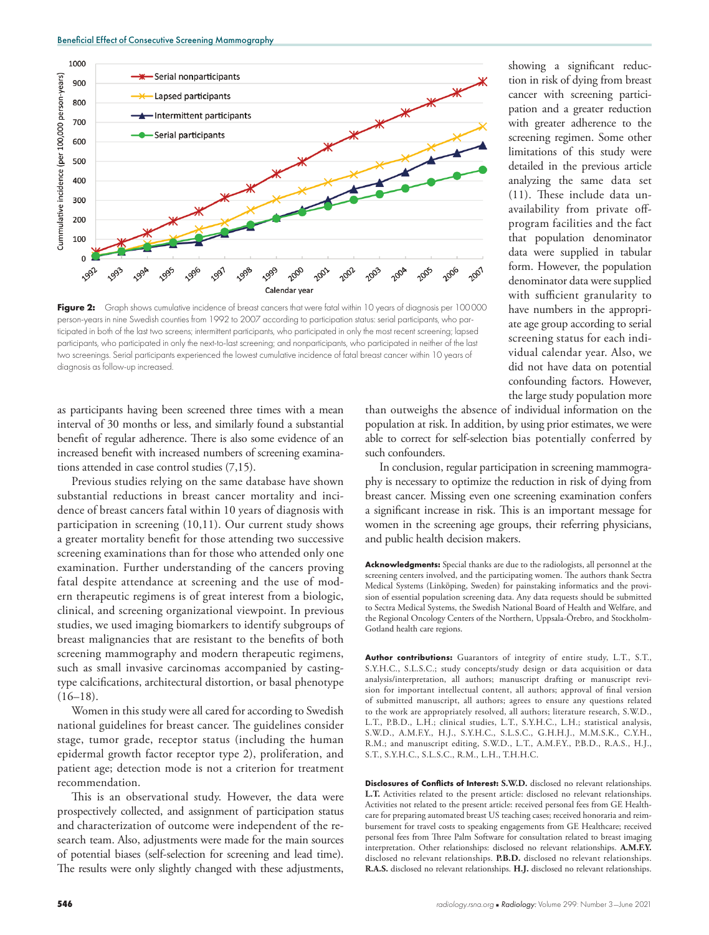

**Figure 2:** Graph shows cumulative incidence of breast cancers that were fatal within 10 years of diagnosis per 100000 person-years in nine Swedish counties from 1992 to 2007 according to participation status: serial participants, who participated in both of the last two screens; intermittent participants, who participated in only the most recent screening; lapsed participants, who participated in only the next-to-last screening; and nonparticipants, who participated in neither of the last two screenings. Serial participants experienced the lowest cumulative incidence of fatal breast cancer within 10 years of diagnosis as follow-up increased.

as participants having been screened three times with a mean interval of 30 months or less, and similarly found a substantial benefit of regular adherence. There is also some evidence of an increased benefit with increased numbers of screening examinations attended in case control studies (7,15).

Previous studies relying on the same database have shown substantial reductions in breast cancer mortality and incidence of breast cancers fatal within 10 years of diagnosis with participation in screening (10,11). Our current study shows a greater mortality benefit for those attending two successive screening examinations than for those who attended only one examination. Further understanding of the cancers proving fatal despite attendance at screening and the use of modern therapeutic regimens is of great interest from a biologic, clinical, and screening organizational viewpoint. In previous studies, we used imaging biomarkers to identify subgroups of breast malignancies that are resistant to the benefits of both screening mammography and modern therapeutic regimens, such as small invasive carcinomas accompanied by castingtype calcifications, architectural distortion, or basal phenotype  $(16–18).$ 

Women in this study were all cared for according to Swedish national guidelines for breast cancer. The guidelines consider stage, tumor grade, receptor status (including the human epidermal growth factor receptor type 2), proliferation, and patient age; detection mode is not a criterion for treatment recommendation.

This is an observational study. However, the data were prospectively collected, and assignment of participation status and characterization of outcome were independent of the research team. Also, adjustments were made for the main sources of potential biases (self-selection for screening and lead time). The results were only slightly changed with these adjustments,

showing a significant reduction in risk of dying from breast cancer with screening participation and a greater reduction with greater adherence to the screening regimen. Some other limitations of this study were detailed in the previous article analyzing the same data set (11). These include data unavailability from private offprogram facilities and the fact that population denominator data were supplied in tabular form. However, the population denominator data were supplied with sufficient granularity to have numbers in the appropriate age group according to serial screening status for each individual calendar year. Also, we did not have data on potential confounding factors. However, the large study population more

than outweighs the absence of individual information on the population at risk. In addition, by using prior estimates, we were able to correct for self-selection bias potentially conferred by such confounders.

In conclusion, regular participation in screening mammography is necessary to optimize the reduction in risk of dying from breast cancer. Missing even one screening examination confers a significant increase in risk. This is an important message for women in the screening age groups, their referring physicians, and public health decision makers.

**Acknowledgments:** Special thanks are due to the radiologists, all personnel at the screening centers involved, and the participating women. The authors thank Sectra Medical Systems (Linkӧping, Sweden) for painstaking informatics and the provision of essential population screening data. Any data requests should be submitted to Sectra Medical Systems, the Swedish National Board of Health and Welfare, and the Regional Oncology Centers of the Northern, Uppsala-Örebro, and Stockholm-Gotland health care regions.

**Author contributions:** Guarantors of integrity of entire study, L.T., S.T., S.Y.H.C., S.L.S.C.; study concepts/study design or data acquisition or data analysis/interpretation, all authors; manuscript drafting or manuscript revision for important intellectual content, all authors; approval of final version of submitted manuscript, all authors; agrees to ensure any questions related to the work are appropriately resolved, all authors; literature research, S.W.D., L.T., P.B.D., L.H.; clinical studies, L.T., S.Y.H.C., L.H.; statistical analysis, S.W.D., A.M.F.Y., H.J., S.Y.H.C., S.L.S.C., G.H.H.J., M.M.S.K., C.Y.H., R.M.; and manuscript editing, S.W.D., L.T., A.M.F.Y., P.B.D., R.A.S., H.J., S.T., S.Y.H.C., S.L.S.C., R.M., L.H., T.H.H.C.

**Disclosures of Conflicts of Interest: S.W.D.** disclosed no relevant relationships. **L.T.** Activities related to the present article: disclosed no relevant relationships. Activities not related to the present article: received personal fees from GE Healthcare for preparing automated breast US teaching cases; received honoraria and reimbursement for travel costs to speaking engagements from GE Healthcare; received personal fees from Three Palm Software for consultation related to breast imaging interpretation. Other relationships: disclosed no relevant relationships. **A.M.F.Y.** disclosed no relevant relationships. **P.B.D.** disclosed no relevant relationships. **R.A.S.** disclosed no relevant relationships. **H.J.** disclosed no relevant relationships.